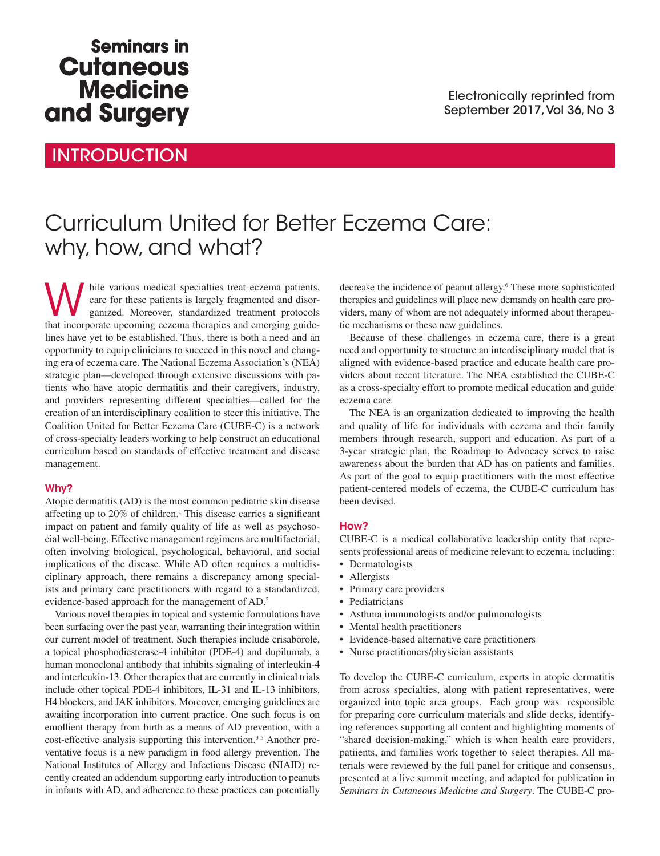## **Seminars in Cutaneous Medicine** and Surgery

### **INTRODUCTION**

# Curriculum United for Better Eczema Care: why, how, and what?

While various medical specialties treat eczema patients,<br>
ganized. Moreover, standardized treatment protocols<br>
that incorporate upcoming eczema therapies and emerging quide care for these patients is largely fragmented and disorthat incorporate upcoming eczema therapies and emerging guidelines have yet to be established. Thus, there is both a need and an opportunity to equip clinicians to succeed in this novel and changing era of eczema care. The National Eczema Association's (NEA) strategic plan—developed through extensive discussions with patients who have atopic dermatitis and their caregivers, industry, and providers representing different specialties—called for the creation of an interdisciplinary coalition to steer this initiative. The Coalition United for Better Eczema Care (CUBE-C) is a network of cross-specialty leaders working to help construct an educational curriculum based on standards of effective treatment and disease management.

#### Why?

Atopic dermatitis (AD) is the most common pediatric skin disease affecting up to 20% of children.<sup>1</sup> This disease carries a significant impact on patient and family quality of life as well as psychosocial well-being. Effective management regimens are multifactorial, often involving biological, psychological, behavioral, and social implications of the disease. While AD often requires a multidisciplinary approach, there remains a discrepancy among specialists and primary care practitioners with regard to a standardized, evidence-based approach for the management of AD.2

Various novel therapies in topical and systemic formulations have been surfacing over the past year, warranting their integration within our current model of treatment. Such therapies include crisaborole, a topical phosphodiesterase-4 inhibitor (PDE-4) and dupilumab, a human monoclonal antibody that inhibits signaling of interleukin-4 and interleukin-13. Other therapies that are currently in clinical trials include other topical PDE-4 inhibitors, IL-31 and IL-13 inhibitors, H4 blockers, and JAK inhibitors. Moreover, emerging guidelines are awaiting incorporation into current practice. One such focus is on emollient therapy from birth as a means of AD prevention, with a cost-effective analysis supporting this intervention.<sup>3-5</sup> Another preventative focus is a new paradigm in food allergy prevention. The National Institutes of Allergy and Infectious Disease (NIAID) recently created an addendum supporting early introduction to peanuts in infants with AD, and adherence to these practices can potentially

decrease the incidence of peanut allergy.<sup>6</sup> These more sophisticated therapies and guidelines will place new demands on health care providers, many of whom are not adequately informed about therapeutic mechanisms or these new guidelines.

Because of these challenges in eczema care, there is a great need and opportunity to structure an interdisciplinary model that is aligned with evidence-based practice and educate health care providers about recent literature. The NEA established the CUBE-C as a cross-specialty effort to promote medical education and guide eczema care.

The NEA is an organization dedicated to improving the health and quality of life for individuals with eczema and their family members through research, support and education. As part of a 3-year strategic plan, the Roadmap to Advocacy serves to raise awareness about the burden that AD has on patients and families. As part of the goal to equip practitioners with the most effective patient-centered models of eczema, the CUBE-C curriculum has been devised.

#### How?

CUBE-C is a medical collaborative leadership entity that represents professional areas of medicine relevant to eczema, including:

- Dermatologists
- Allergists
- Primary care providers
- Pediatricians
- Asthma immunologists and/or pulmonologists
- Mental health practitioners
- Evidence-based alternative care practitioners
- Nurse practitioners/physician assistants

To develop the CUBE-C curriculum, experts in atopic dermatitis from across specialties, along with patient representatives, were organized into topic area groups. Each group was responsible for preparing core curriculum materials and slide decks, identifying references supporting all content and highlighting moments of "shared decision-making," which is when health care providers, patiients, and families work together to select therapies. All materials were reviewed by the full panel for critique and consensus, presented at a live summit meeting, and adapted for publication in *Seminars in Cutaneous Medicine and Surgery*. The CUBE-C pro